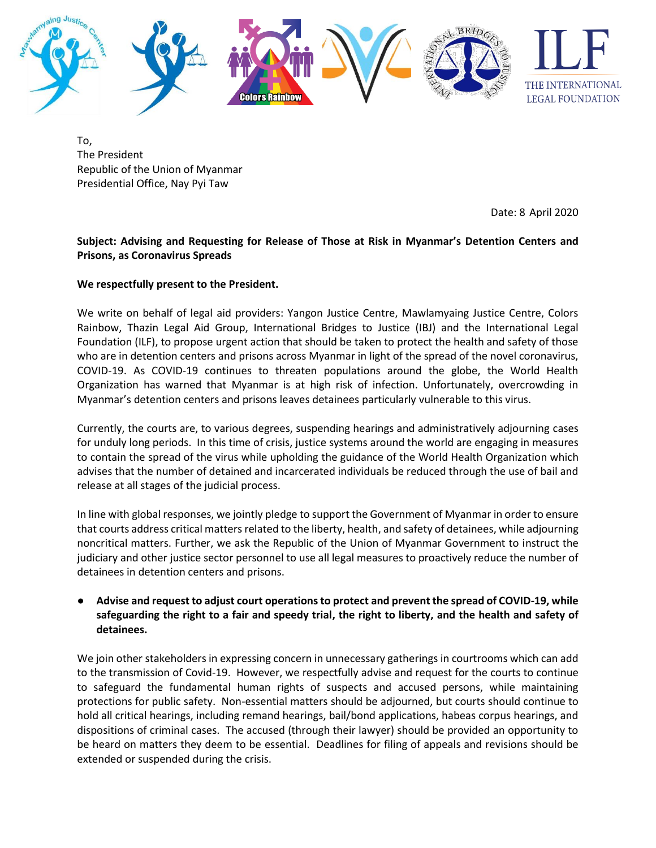

To, The President Republic of the Union of Myanmar Presidential Office, Nay Pyi Taw

Date: 8 April 2020

## **Subject: Advising and Requesting for Release of Those at Risk in Myanmar's Detention Centers and Prisons, as Coronavirus Spreads**

## **We respectfully present to the President.**

We write on behalf of legal aid providers: Yangon Justice Centre, Mawlamyaing Justice Centre, Colors Rainbow, Thazin Legal Aid Group, International Bridges to Justice (IBJ) and the International Legal Foundation (ILF), to propose urgent action that should be taken to protect the health and safety of those who are in detention centers and prisons across Myanmar in light of the spread of the novel coronavirus, COVID-19. As COVID-19 continues to threaten populations around the globe, the World Health Organization has warned that Myanmar is at high risk of infection. Unfortunately, overcrowding in Myanmar's detention centers and prisons leaves detainees particularly vulnerable to this virus.

Currently, the courts are, to various degrees, suspending hearings and administratively adjourning cases for unduly long periods. In this time of crisis, justice systems around the world are engaging in measures to contain the spread of the virus while upholding the guidance of the World Health Organization which advises that the number of detained and incarcerated individuals be reduced through the use of bail and release at all stages of the judicial process.

In line with global responses, we jointly pledge to support the Government of Myanmar in order to ensure that courts address critical matters related to the liberty, health, and safety of detainees, while adjourning noncritical matters. Further, we ask the Republic of the Union of Myanmar Government to instruct the judiciary and other justice sector personnel to use all legal measures to proactively reduce the number of detainees in detention centers and prisons.

## ● **Advise and request to adjust court operations to protect and prevent the spread of COVID-19, while safeguarding the right to a fair and speedy trial, the right to liberty, and the health and safety of detainees.**

We join other stakeholders in expressing concern in unnecessary gatherings in courtrooms which can add to the transmission of Covid-19. However, we respectfully advise and request for the courts to continue to safeguard the fundamental human rights of suspects and accused persons, while maintaining protections for public safety. Non-essential matters should be adjourned, but courts should continue to hold all critical hearings, including remand hearings, bail/bond applications, habeas corpus hearings, and dispositions of criminal cases. The accused (through their lawyer) should be provided an opportunity to be heard on matters they deem to be essential. Deadlines for filing of appeals and revisions should be extended or suspended during the crisis.